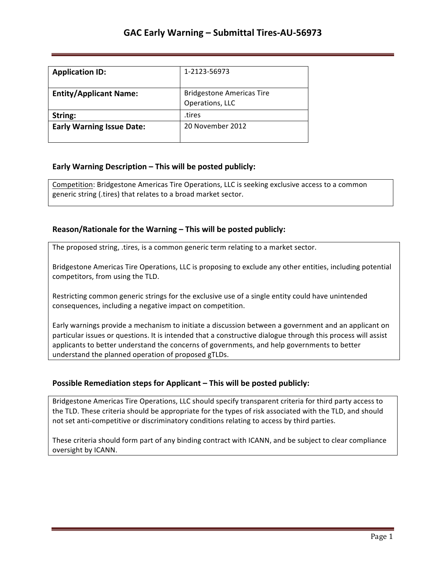# **GAC Early Warning – Submittal Tires-AU-56973**

| <b>Application ID:</b>           | 1-2123-56973                                        |
|----------------------------------|-----------------------------------------------------|
| <b>Entity/Applicant Name:</b>    | <b>Bridgestone Americas Tire</b><br>Operations, LLC |
| String:                          | tires                                               |
| <b>Early Warning Issue Date:</b> | 20 November 2012                                    |

### **Early Warning Description – This will be posted publicly:**

Competition: Bridgestone Americas Tire Operations, LLC is seeking exclusive access to a common generic string (.tires) that relates to a broad market sector.

### **Reason/Rationale for the Warning – This will be posted publicly:**

The proposed string, .tires, is a common generic term relating to a market sector.

Bridgestone Americas Tire Operations, LLC is proposing to exclude any other entities, including potential competitors, from using the TLD.

Restricting common generic strings for the exclusive use of a single entity could have unintended consequences, including a negative impact on competition.

Early warnings provide a mechanism to initiate a discussion between a government and an applicant on particular issues or questions. It is intended that a constructive dialogue through this process will assist applicants to better understand the concerns of governments, and help governments to better understand the planned operation of proposed gTLDs.

### **Possible Remediation steps for Applicant – This will be posted publicly:**

Bridgestone Americas Tire Operations, LLC should specify transparent criteria for third party access to the TLD. These criteria should be appropriate for the types of risk associated with the TLD, and should not set anti-competitive or discriminatory conditions relating to access by third parties.

These criteria should form part of any binding contract with ICANN, and be subject to clear compliance oversight by ICANN.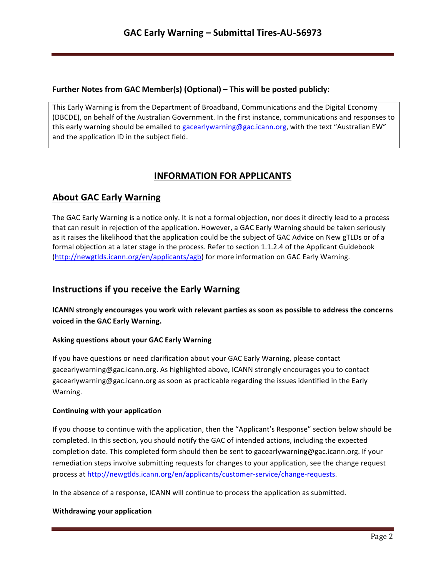## **Further Notes from GAC Member(s) (Optional) – This will be posted publicly:**

This Early Warning is from the Department of Broadband, Communications and the Digital Economy (DBCDE), on behalf of the Australian Government. In the first instance, communications and responses to this early warning should be emailed to gacearlywarning@gac.icann.org, with the text "Australian EW" and the application ID in the subject field.

# **INFORMATION FOR APPLICANTS**

## **About GAC Early Warning**

The GAC Early Warning is a notice only. It is not a formal objection, nor does it directly lead to a process that can result in rejection of the application. However, a GAC Early Warning should be taken seriously as it raises the likelihood that the application could be the subject of GAC Advice on New gTLDs or of a formal objection at a later stage in the process. Refer to section 1.1.2.4 of the Applicant Guidebook (http://newgtlds.icann.org/en/applicants/agb) for more information on GAC Early Warning.

## **Instructions if you receive the Early Warning**

**ICANN** strongly encourages you work with relevant parties as soon as possible to address the concerns voiced in the GAC Early Warning.

### **Asking questions about your GAC Early Warning**

If you have questions or need clarification about your GAC Early Warning, please contact gacearlywarning@gac.icann.org. As highlighted above, ICANN strongly encourages you to contact gacearlywarning@gac.icann.org as soon as practicable regarding the issues identified in the Early Warning. 

### **Continuing with your application**

If you choose to continue with the application, then the "Applicant's Response" section below should be completed. In this section, you should notify the GAC of intended actions, including the expected completion date. This completed form should then be sent to gacearlywarning@gac.icann.org. If your remediation steps involve submitting requests for changes to your application, see the change request process at http://newgtlds.icann.org/en/applicants/customer-service/change-requests.

In the absence of a response, ICANN will continue to process the application as submitted.

### **Withdrawing your application**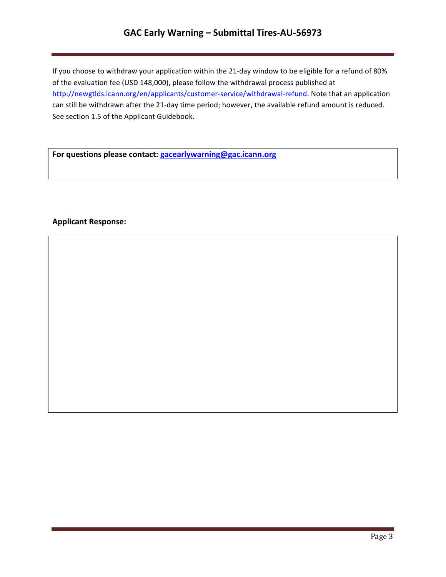# **GAC Early Warning – Submittal Tires-AU-56973**

If you choose to withdraw your application within the 21-day window to be eligible for a refund of 80% of the evaluation fee (USD 148,000), please follow the withdrawal process published at http://newgtlds.icann.org/en/applicants/customer-service/withdrawal-refund. Note that an application can still be withdrawn after the 21-day time period; however, the available refund amount is reduced. See section 1.5 of the Applicant Guidebook.

For questions please contact: **gacearlywarning@gac.icann.org** 

### **Applicant Response:**